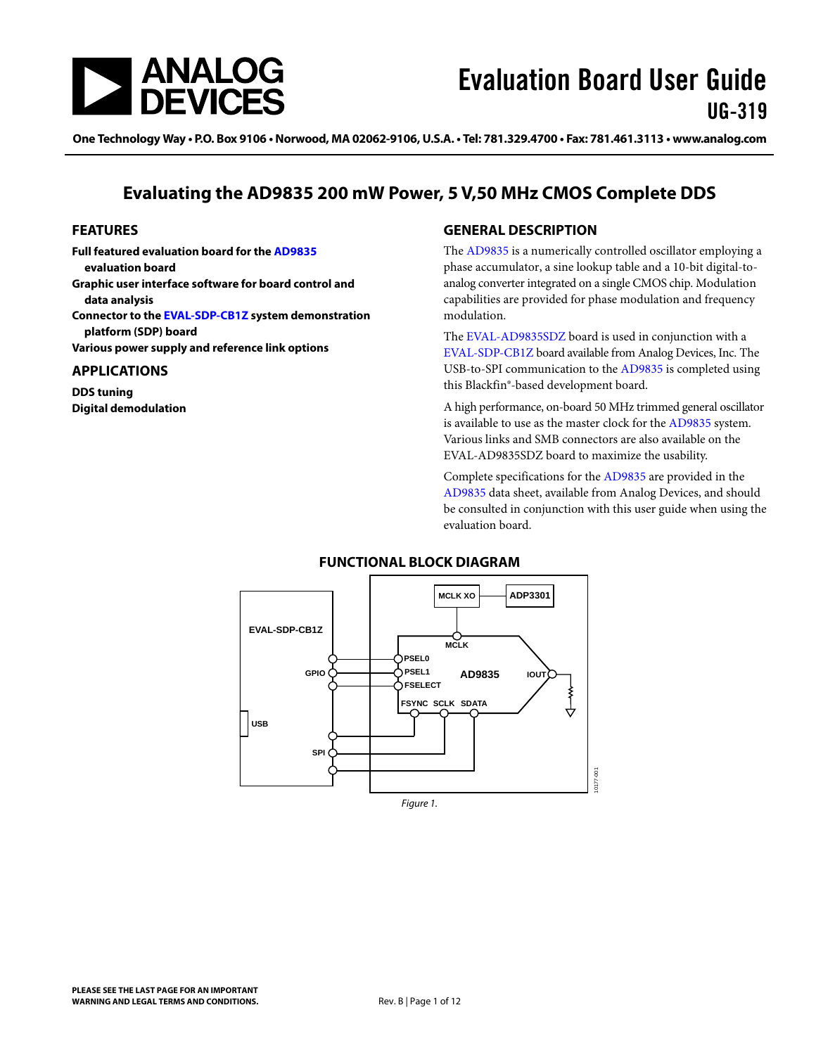<span id="page-0-0"></span>

One Technology Way • P.O. Box 9106 • Norwood, MA 02062-9106, U.S.A. • Tel: 781.329.4700 • Fax: 781.461.3113 • www.analog.com

## **Evaluating the AD9835 200 mW Power, 5 V,50 MHz CMOS Complete DDS**

#### **FEATURES**

**Full featured evaluation board for the [AD9835](http://www.analog.com/AD9835) evaluation board Graphic user interface software for board control and data analysis Connector to the [EVAL-SDP-CB1Z](http://www.analog.com/sdplatform_userguide) system demonstration platform (SDP) board** 

**Various power supply and reference link options** 

#### **APPLICATIONS**

**DDS tuning Digital demodulation** 

#### **GENERAL DESCRIPTION**

The [AD9835](http://www.analog.com/AD9835) is a numerically controlled oscillator employing a phase accumulator, a sine lookup table and a 10-bit digital-toanalog converter integrated on a single CMOS chip. Modulation capabilities are provided for phase modulation and frequency modulation.

The [EVAL-AD9835SDZ](http://www.analog.com/AD9835) board is used in conjunction with a [EVAL-SDP-CB1Z](http://www.analog.com/sdplatform_userguide) board available from Analog Devices, Inc. The USB-to-SPI communication to the [AD9835](http://www.analog.com/AD9835) is completed using this Blackfin®*-*based development board.

A high performance, on-board 50 MHz trimmed general oscillator is available to use as the master clock for the [AD9835](http://www.analog.com/AD9835) system. Various links and SMB connectors are also available on the EVAL-AD9835SDZ board to maximize the usability.

Complete specifications for the [AD9835](http://www.analog.com/AD9835) are provided in the [AD9835](http://www.analog.com/AD9835) data sheet, available from Analog Devices, and should be consulted in conjunction with this user guide when using the evaluation board.



Figure 1.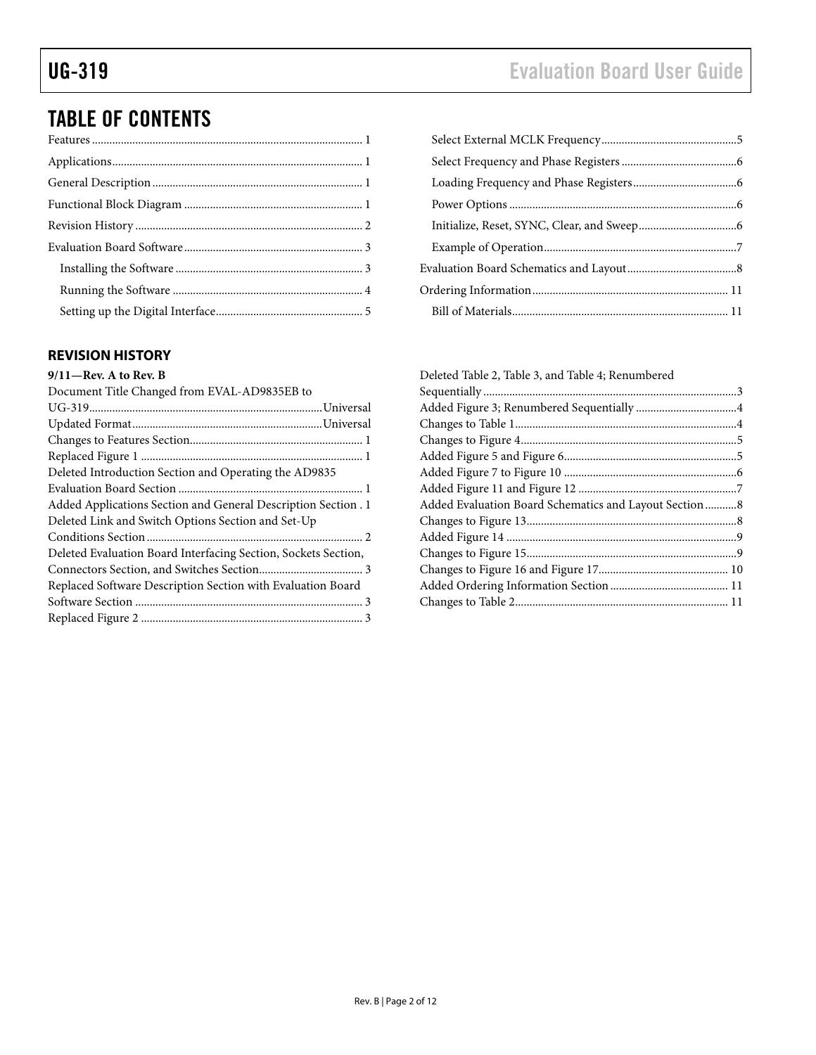# <span id="page-1-0"></span>TABLE OF CONTENTS

### **REVISION HISTORY**

#### **9/11—Rev. A to Rev. B**

| Document Title Changed from EVAL-AD9835EB to                   |
|----------------------------------------------------------------|
|                                                                |
|                                                                |
|                                                                |
|                                                                |
| Deleted Introduction Section and Operating the AD9835          |
|                                                                |
| Added Applications Section and General Description Section . 1 |
| Deleted Link and Switch Options Section and Set-Up             |
|                                                                |
| Deleted Evaluation Board Interfacing Section, Sockets Section, |
|                                                                |
| Replaced Software Description Section with Evaluation Board    |
|                                                                |
|                                                                |
|                                                                |

| Deleted Table 2, Table 3, and Table 4; Renumbered      |  |
|--------------------------------------------------------|--|
|                                                        |  |
|                                                        |  |
|                                                        |  |
|                                                        |  |
|                                                        |  |
|                                                        |  |
|                                                        |  |
| Added Evaluation Board Schematics and Layout Section 8 |  |
|                                                        |  |
|                                                        |  |
|                                                        |  |
|                                                        |  |
|                                                        |  |
|                                                        |  |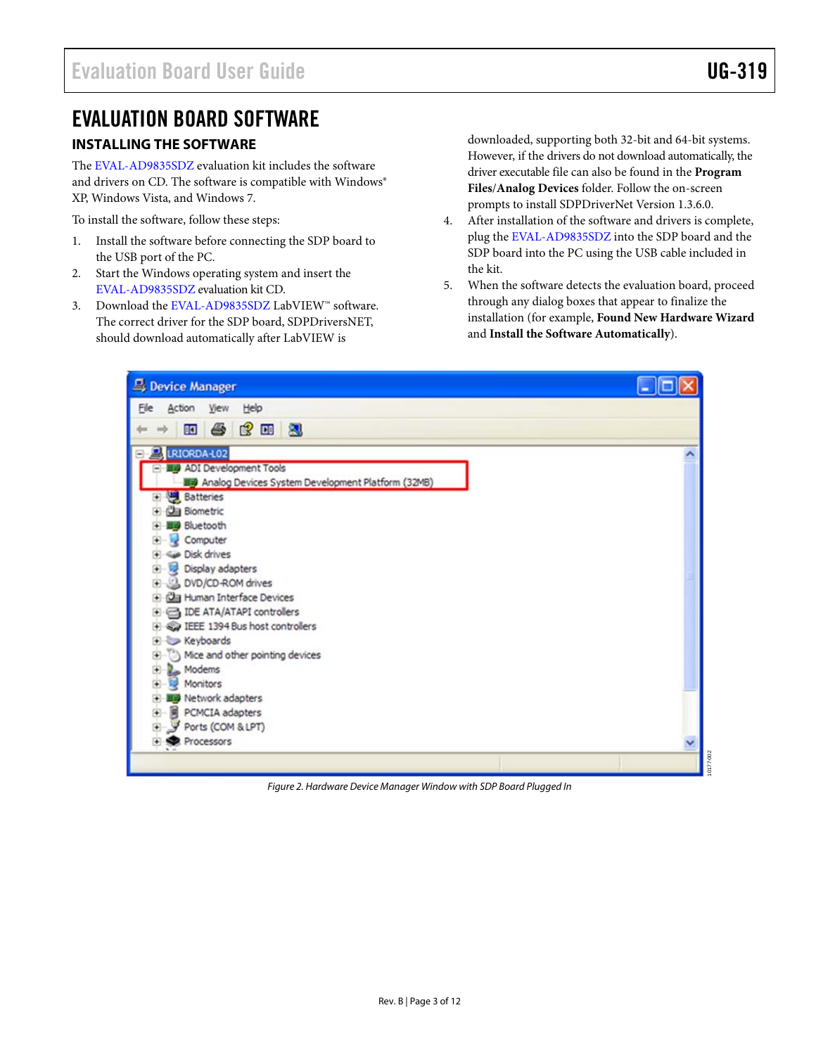## <span id="page-2-0"></span>EVALUATION BOARD SOFTWARE

#### **INSTALLING THE SOFTWARE**

The [EVAL-AD9835SDZ](http://www.analog.com/AD9835) evaluation kit includes the software and drivers on CD. The software is compatible with Windows® XP, Windows Vista, and Windows 7.

To install the software, follow these steps:

- 1. Install the software before connecting the SDP board to the USB port of the PC.
- 2. Start the Windows operating system and insert the [EVAL-AD9835SDZ](http://www.analog.com/AD9835) evaluation kit CD.
- 3. Download the [EVAL-AD9835SDZ](http://www.analog.com/AD9835) LabVIEW™ software. The correct driver for the SDP board, SDPDriversNET, should download automatically after LabVIEW is

downloaded, supporting both 32-bit and 64-bit systems. However, if the drivers do not download automatically, the driver executable file can also be found in the **Program Files**/**Analog Devices** folder. Follow the on-screen prompts to install SDPDriverNet Version 1.3.6.0.

- 4. After installation of the software and drivers is complete, plug the [EVAL-AD9835SDZ](http://www.analog.com/AD9835) into the SDP board and the SDP board into the PC using the USB cable included in the kit.
- 5. When the software detects the evaluation board, proceed through any dialog boxes that appear to finalize the installation (for example, **Found New Hardware Wizard** and **Install the Software Automatically**).

| Device Manager                                    |  |  |
|---------------------------------------------------|--|--|
| Elle<br>Action View Help                          |  |  |
| 面子或面包                                             |  |  |
| LRIORDA-L02                                       |  |  |
| ADI Development Tools                             |  |  |
| Analog Devices System Development Platform (32MB) |  |  |
| <b>Batteries</b><br>田                             |  |  |
| <b>Ca</b> Biometric                               |  |  |
| <b>Bluetooth</b>                                  |  |  |
| Computer<br>Disk drives                           |  |  |
| Display adapters                                  |  |  |
| DVD/CD-ROM drives<br>④                            |  |  |
| Human Interface Devices                           |  |  |
| <b>EDE ATA/ATAPI controllers</b>                  |  |  |
| IEEE 1394 Bus host controllers                    |  |  |
| Keyboards<br>围                                    |  |  |
| Mice and other pointing devices<br>⊕              |  |  |
| Modems<br>庚                                       |  |  |
| <b>Monitors</b>                                   |  |  |
| <sup>13</sup> Network adapters                    |  |  |
| PCMCIA adapters<br>④                              |  |  |
| Ports (COM & LPT)<br>歯                            |  |  |
| + Re Processors                                   |  |  |
|                                                   |  |  |

Figure 2. Hardware Device Manager Window with SDP Board Plugged In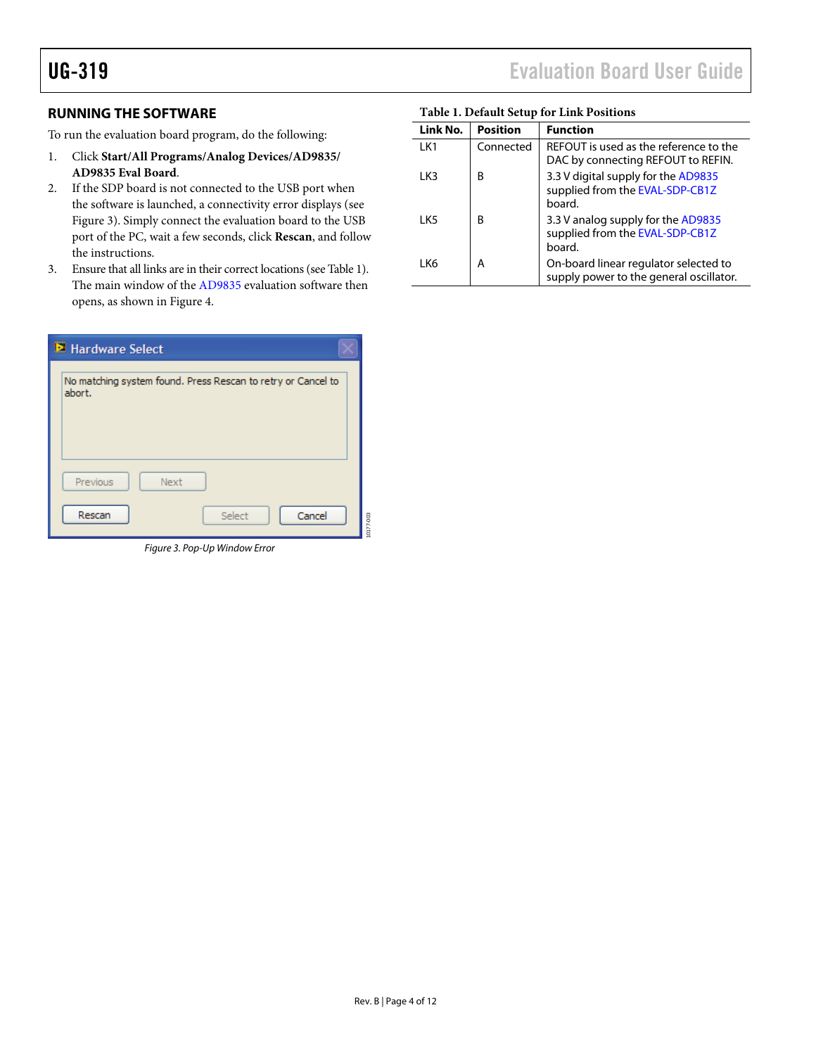#### <span id="page-3-2"></span><span id="page-3-0"></span>**RUNNING THE SOFTWARE**

To run the evaluation board program, do the following:

- 1. Click **Start/All Programs/Analog Devices/AD9835/ AD9835 Eval Board**.
- 2. If the SDP board is not connected to the USB port when the software is launched, a connectivity error displays (see [Figure 3](#page-3-1)). Simply connect the evaluation board to the USB port of the PC, wait a few seconds, click **Rescan**, and follow the instructions.
- 3. Ensure that all links are in their correct locations (see [Table 1](#page-3-2)). The main window of the [AD9835](http://www.analog.com/AD9835) evaluation software then opens, as shown in [Figure 4](#page-4-1).

| Hardware Select |                                                                        |           |  |
|-----------------|------------------------------------------------------------------------|-----------|--|
|                 | No matching system found. Press Rescan to retry or Cancel to<br>abort. |           |  |
|                 | Previous<br>Next<br>Cancel<br>Rescan<br>Select                         | 10177-003 |  |

<span id="page-3-1"></span>Figure 3. Pop-Up Window Error

| Tuble 1: Deluthe octup for Ellia I obteions |                 |                                                                                  |
|---------------------------------------------|-----------------|----------------------------------------------------------------------------------|
| Link No.                                    | <b>Position</b> | <b>Function</b>                                                                  |
| LK1                                         | Connected       | REFOUT is used as the reference to the<br>DAC by connecting REFOUT to REFIN.     |
| I K3                                        | R               | 3.3 V digital supply for the AD9835<br>supplied from the EVAL-SDP-CB1Z<br>board. |
| LK <sub>5</sub>                             | R               | 3.3 V analog supply for the AD9835<br>supplied from the EVAL-SDP-CB1Z<br>board.  |
| LK6                                         | А               | On-board linear regulator selected to<br>supply power to the general oscillator. |

#### **Table 1. Default Setup for Link Positions**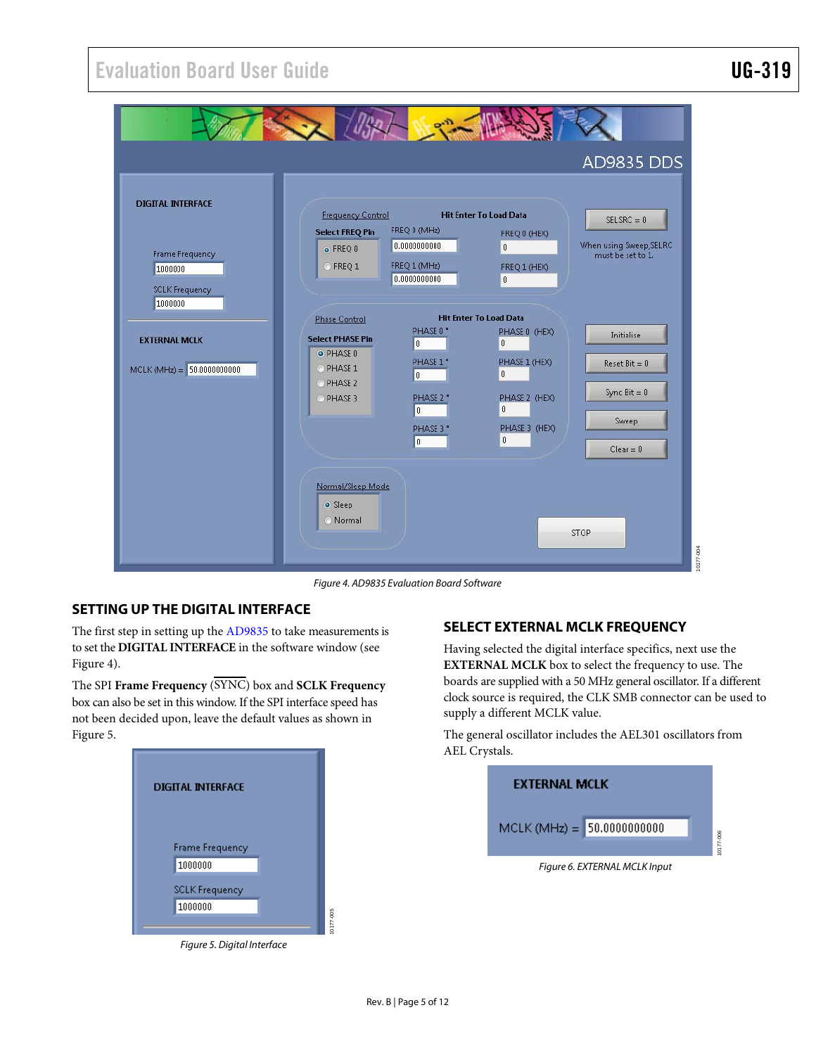<span id="page-4-0"></span>

Figure 4. AD9835 Evaluation Board Software

### <span id="page-4-1"></span>**SETTING UP THE DIGITAL INTERFACE**

The first step in setting up the [AD9835](http://www.analog.com/AD9835) to take measurements is to set the **DIGITAL INTERFACE** in the software window (see [Figure 4](#page-4-1)).

The SPI **Frame Frequency** (SYNC) box and **SCLK Frequency** box can also be set in this window. If the SPI interface speed has not been decided upon, leave the default values as shown in [Figure 5](#page-4-2).



<span id="page-4-2"></span>Figure 5. Digital Interface

#### **SELECT EXTERNAL MCLK FREQUENCY**

Having selected the digital interface specifics, next use the **EXTERNAL MCLK** box to select the frequency to use. The boards are supplied with a 50 MHz general oscillator. If a different clock source is required, the CLK SMB connector can be used to supply a different MCLK value.

The general oscillator includes the AEL301 oscillators from AEL Crystals.

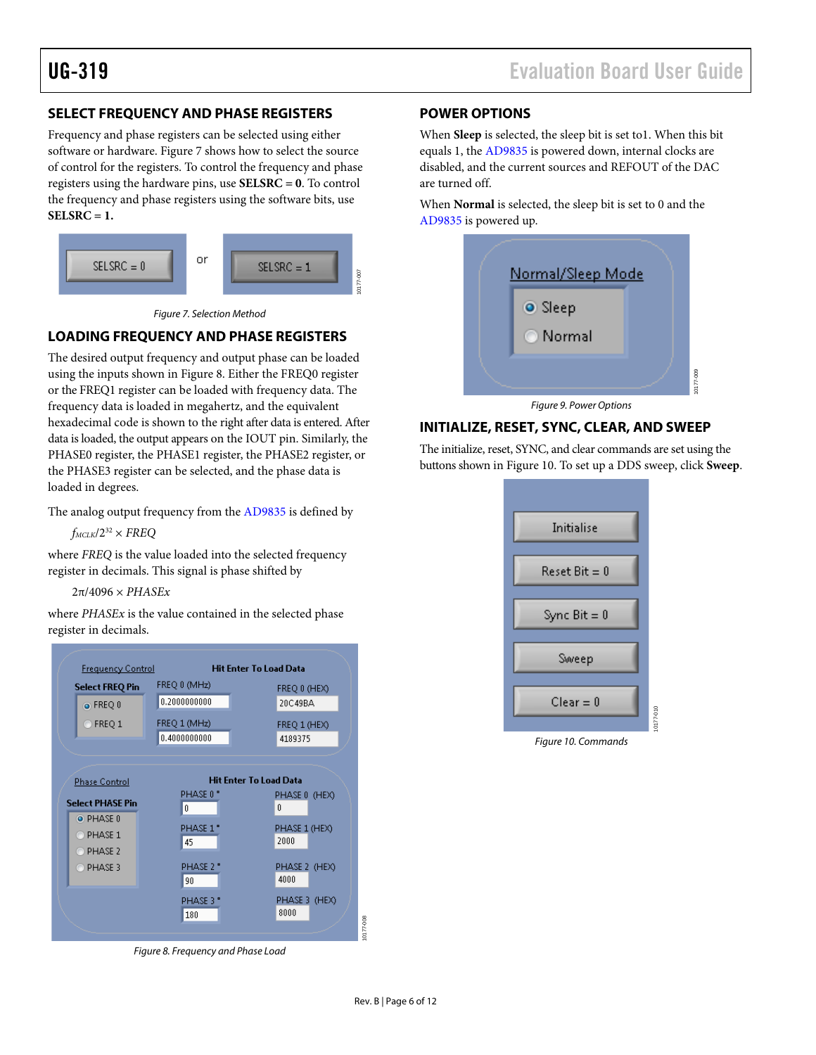### <span id="page-5-0"></span>**SELECT FREQUENCY AND PHASE REGISTERS**

Frequency and phase registers can be selected using either software or hardware. [Figure 7](#page-5-1) shows how to select the source of control for the registers. To control the frequency and phase registers using the hardware pins, use **SELSRC = 0**. To control the frequency and phase registers using the software bits, use **SELSRC = 1.**



Figure 7. Selection Method

#### <span id="page-5-1"></span>**LOADING FREQUENCY AND PHASE REGISTERS**

The desired output frequency and output phase can be loaded using the inputs shown in [Figure 8.](#page-5-2) Either the FREQ0 register or the FREQ1 register can be loaded with frequency data. The frequency data is loaded in megahertz, and the equivalent hexadecimal code is shown to the right after data is entered. After data is loaded, the output appears on the IOUT pin. Similarly, the PHASE0 register, the PHASE1 register, the PHASE2 register, or the PHASE3 register can be selected, and the phase data is loaded in degrees.

The analog output frequency from the [AD9835](http://www.analog.com/AD9835) is defined by

 $f_{MCLK}/2^{32} \times FREQ$ 

where *FREQ* is the value loaded into the selected frequency register in decimals. This signal is phase shifted by

2π/4096 × *PHASEx*

where *PHASEx* is the value contained in the selected phase register in decimals.

<span id="page-5-3"></span>

<span id="page-5-2"></span>Figure 8. Frequency and Phase Load

#### **POWER OPTIONS**

When **Sleep** is selected, the sleep bit is set to1. When this bit equals 1, the [AD9835](http://www.analog.com/AD9835) is powered down, internal clocks are disabled, and the current sources and REFOUT of the DAC are turned off.

When **Normal** is selected, the sleep bit is set to 0 and the [AD9835](http://www.analog.com/AD9835) is powered up.



Figure 9. Power Options

#### **INITIALIZE, RESET, SYNC, CLEAR, AND SWEEP**

The initialize, reset, SYNC, and clear commands are set using the buttons shown in [Figure 10.](#page-5-3) To set up a DDS sweep, click **Sweep**.



Figure 10. Commands

10177-008

0177-008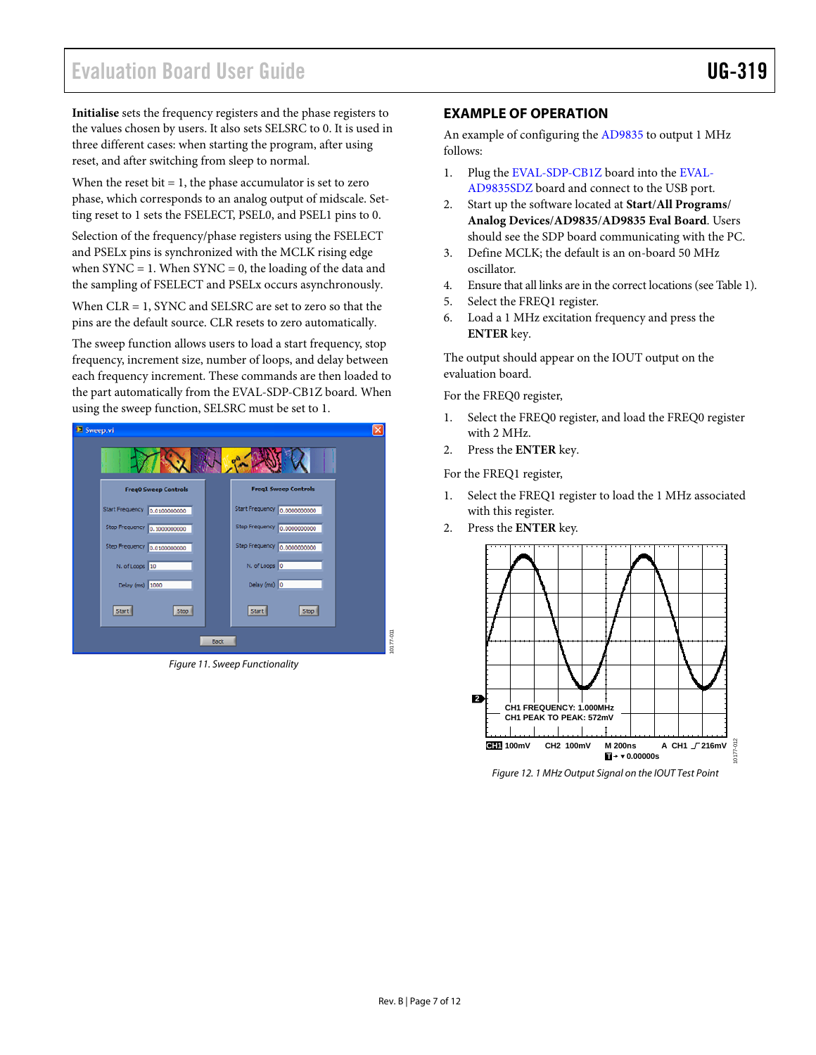<span id="page-6-0"></span>**Initialise** sets the frequency registers and the phase registers to **EXAMPLE OF OPERATION** the values chosen by users. It also sets SELSRC to 0. It is used in three different cases: when starting the program, after using reset, and after switching from sleep to normal.

When the reset bit = 1, the phase accumulator is set to zero  $AD9835SDZ$  board and connect to the USB port.<br>phase, which corresponds to an analog output of midscale. Set-<br>2. Start up the software located at **Start/All Progr** ting reset to 1 sets the FSELECT, PSEL0, and PSEL1 pins to 0.

Selection of the frequency/phase registers using the FSELECT should see the SDP board communicating with the PC. and PSELx pins is synchronized with the MCLK rising edge when  $SYNC = 1$ . When  $SYNC = 0$ , the loading of the data and the sampling of FSELECT and PSELx occurs asynchronously.

When  $CLR = 1$ , SYNC and SELSRC are set to zero so that the  $\begin{array}{ccc} 5. & \text{Select the FREQ1 register.} \\ \text{nins are the default source.} & 6. & \text{Load a 1 MHz excitation frequency and press the} \end{array}$ pins are the default source. CLR resets to zero automatically. 6. Load a 1 MHz exception from frequency and press to zero automatically.

The sweep function allows users to load a start frequency, stop frequency, increment size, number of loops, and delay between each frequency increment. These commands are then loaded to the part automatically from the [EVAL-SDP-CB1Z](http://www.analog.com/sdplatform_userguide) board. When using the sweep function, SELSRC must be set to 1.



Figure 11. Sweep Functionality

An example of configuring the [AD9835](http://www.analog.com/AD9835) to output 1 MHz follows:

- 1. Plug the [EVAL-SDP-CB1Z](http://www.analog.com/sdplatform_userguide) board into the [EVAL-](http://www.analog.com/AD9835)
- 2. Start up the software located at **Start**/**All Programs**/ **Analog Devices**/**AD9835**/**AD9835 Eval Board**. Users
- 3. Define MCLK; the default is an on-board 50 MHz oscillator.
- 4. Ensure that all links are in the correct locations (see [Table 1](#page-3-2)).
- 
- 

The output should appear on the IOUT output on the evaluation board.

For the FREQ0 register,

- 1. Select the FREQ0 register, and load the FREQ0 register with 2 MHz.
- 2. Press the **ENTER** key.

For the FREQ1 register,

- 1. Select the FREQ1 register to load the 1 MHz associated with this register.
- 2. Press the **ENTER** key.



Figure 12. 1 MHz Output Signal on the IOUT Test Point

10177-011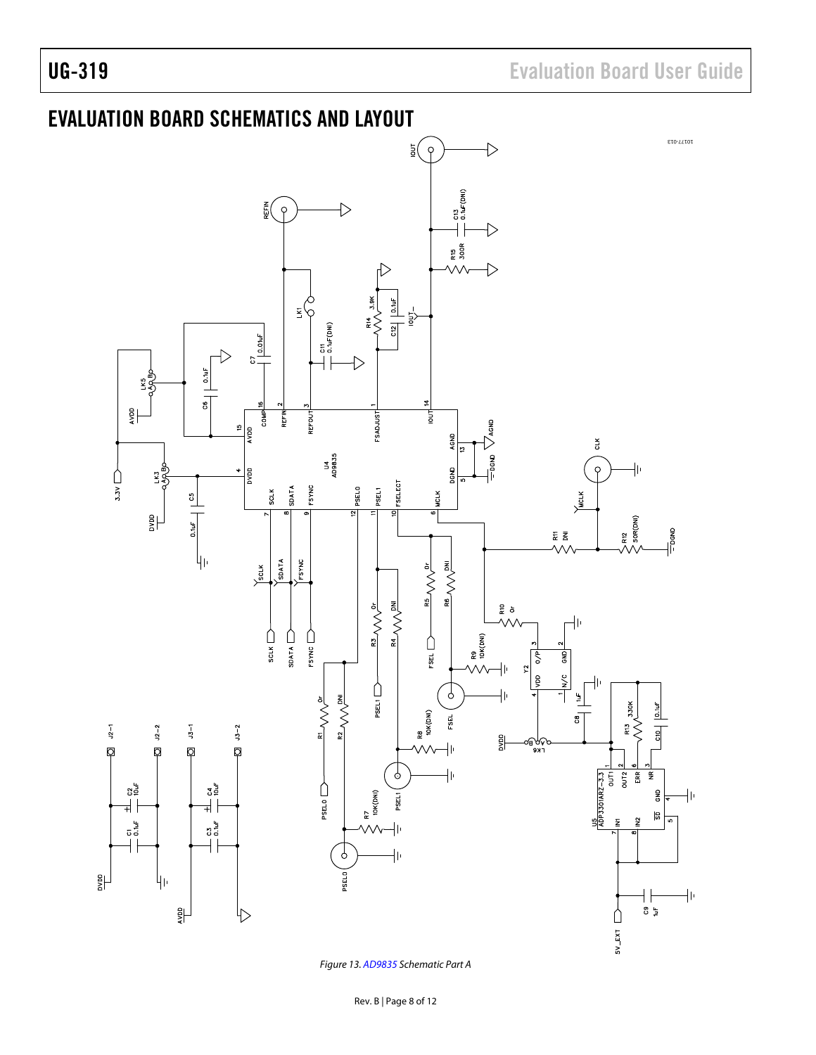<span id="page-7-0"></span>

Figure 13. [AD9835](http://www.analog.com/AD9835) Schematic Part A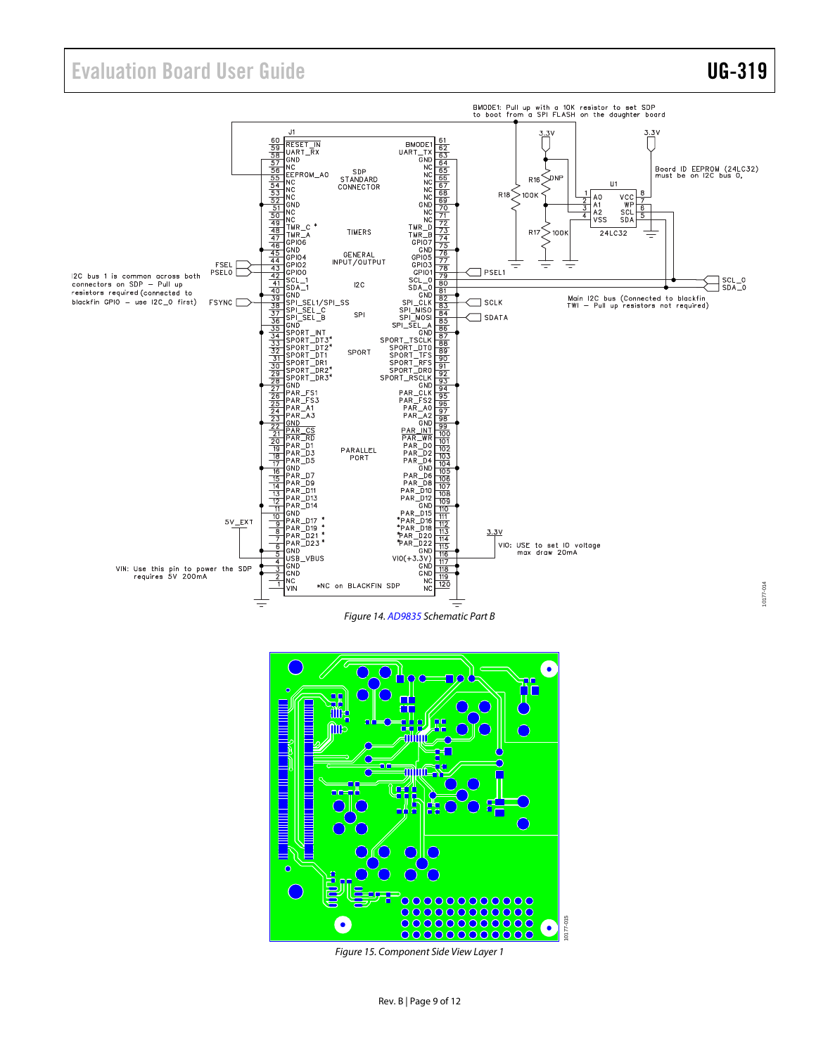# Evaluation Board User Guide Contract Contract Contract Contract Contract Contract Contract Contract Contract Contract Contract Contract Contract Contract Contract Contract Contract Contract Contract Contract Contract Contr







Figure 15. Component Side View Layer 1

10177-014 10177-014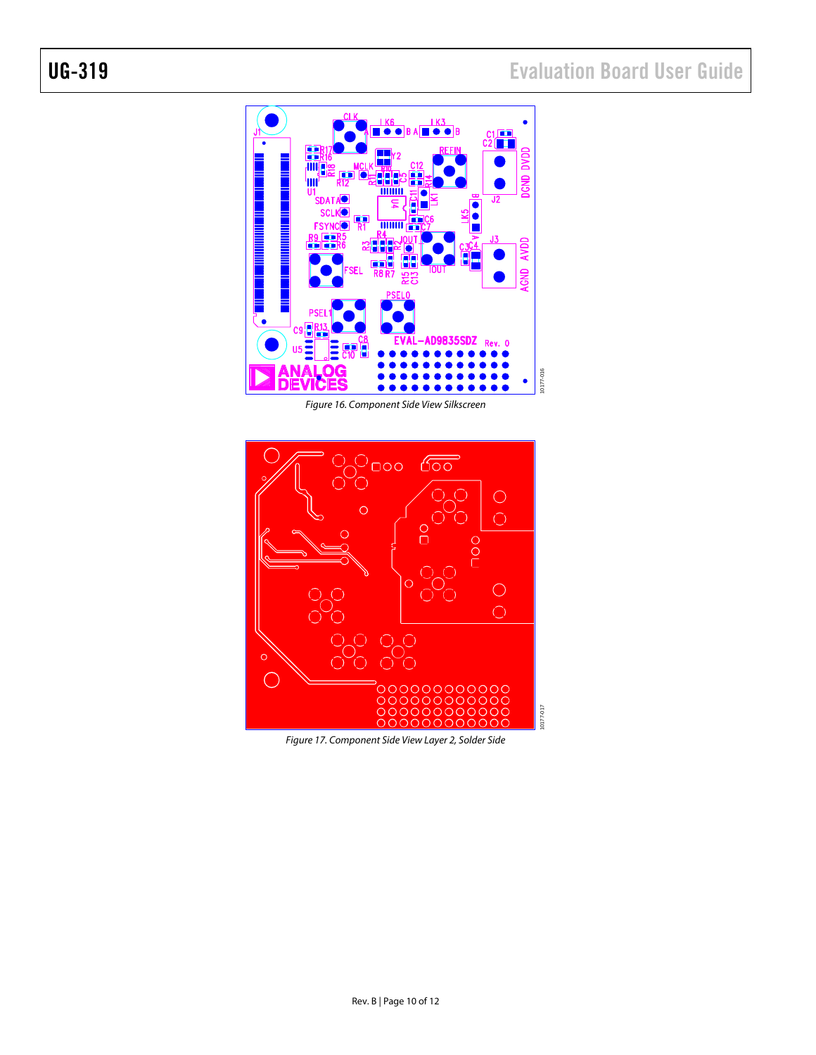

Figure 16. Component Side View Silkscreen



Figure 17. Component Side View Layer 2, Solder Side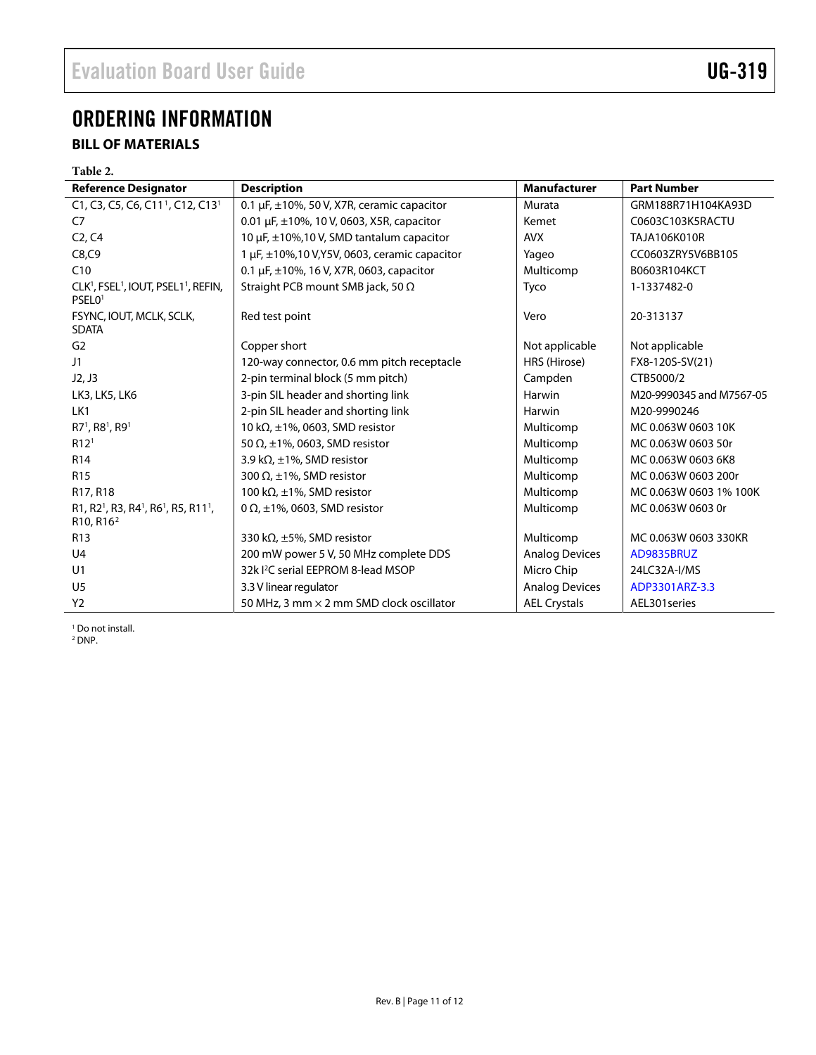# <span id="page-10-0"></span>ORDERING INFORMATION

## **BILL OF MATERIALS**

<span id="page-10-1"></span>

| Table 2.                                                                                                                              |                                                        |                       |                          |
|---------------------------------------------------------------------------------------------------------------------------------------|--------------------------------------------------------|-----------------------|--------------------------|
| <b>Reference Designator</b>                                                                                                           | <b>Description</b>                                     | <b>Manufacturer</b>   | <b>Part Number</b>       |
| C1, C3, C5, C6, C11 <sup>1</sup> , C12, C13 <sup>1</sup>                                                                              | 0.1 $\mu$ F, $\pm$ 10%, 50 V, X7R, ceramic capacitor   | Murata                | GRM188R71H104KA93D       |
| C7                                                                                                                                    | 0.01 $\mu$ F, $\pm$ 10%, 10 V, 0603, X5R, capacitor    | Kemet                 | C0603C103K5RACTU         |
| C <sub>2</sub> , C <sub>4</sub>                                                                                                       | 10 µF, ±10%,10 V, SMD tantalum capacitor               | <b>AVX</b>            | TAJA106K010R             |
| C8, C9                                                                                                                                | 1 $\mu$ F, $\pm$ 10%,10 V,Y5V, 0603, ceramic capacitor | Yageo                 | CC0603ZRY5V6BB105        |
| C10                                                                                                                                   | 0.1 $\mu$ F, $\pm$ 10%, 16 V, X7R, 0603, capacitor     | Multicomp             | B0603R104KCT             |
| CLK <sup>1</sup> , FSEL <sup>1</sup> , IOUT, PSEL1 <sup>1</sup> , REFIN,<br>PSEL <sub>01</sub>                                        | Straight PCB mount SMB jack, 50 $\Omega$               | Tyco                  | 1-1337482-0              |
| FSYNC, IOUT, MCLK, SCLK,<br><b>SDATA</b>                                                                                              | Red test point                                         | Vero                  | 20-313137                |
| G <sub>2</sub>                                                                                                                        | Copper short                                           | Not applicable        | Not applicable           |
| J1                                                                                                                                    | 120-way connector, 0.6 mm pitch receptacle             | HRS (Hirose)          | FX8-120S-SV(21)          |
| J2, J3                                                                                                                                | 2-pin terminal block (5 mm pitch)                      | Campden               | CTB5000/2                |
| LK3, LK5, LK6                                                                                                                         | 3-pin SIL header and shorting link                     | Harwin                | M20-9990345 and M7567-05 |
| LK1                                                                                                                                   | 2-pin SIL header and shorting link                     | Harwin                | M20-9990246              |
| R7 <sup>1</sup> , R8 <sup>1</sup> , R9 <sup>1</sup>                                                                                   | 10 kΩ, $±1\%$ , 0603, SMD resistor                     | Multicomp             | MC 0.063W 0603 10K       |
| R12 <sup>1</sup>                                                                                                                      | 50 $\Omega$ , ±1%, 0603, SMD resistor                  | Multicomp             | MC 0.063W 0603 50r       |
| R <sub>14</sub>                                                                                                                       | 3.9 k $\Omega$ , ±1%, SMD resistor                     | Multicomp             | MC 0.063W 0603 6K8       |
| R <sub>15</sub>                                                                                                                       | 300 $\Omega$ , ±1%, SMD resistor                       | Multicomp             | MC 0.063W 0603 200r      |
| R <sub>17</sub> , R <sub>18</sub>                                                                                                     | 100 k $\Omega$ , ±1%, SMD resistor                     | Multicomp             | MC 0.063W 0603 1% 100K   |
| R1, R2 <sup>1</sup> , R3, R4 <sup>1</sup> , R6 <sup>1</sup> , R5, R11 <sup>1</sup> ,<br>R <sub>10</sub> , R <sub>16<sup>2</sup></sub> | 0 $\Omega$ , ±1%, 0603, SMD resistor                   | Multicomp             | MC 0.063W 0603 0r        |
| R <sub>13</sub>                                                                                                                       | 330 k $\Omega$ , ±5%, SMD resistor                     | Multicomp             | MC 0.063W 0603 330KR     |
| U <sub>4</sub>                                                                                                                        | 200 mW power 5 V, 50 MHz complete DDS                  | <b>Analog Devices</b> | AD9835BRUZ               |
| U <sub>1</sub>                                                                                                                        | 32k <sup>2</sup> C serial EEPROM 8-lead MSOP           | Micro Chip            | 24LC32A-I/MS             |
| U <sub>5</sub>                                                                                                                        | 3.3 V linear regulator                                 | <b>Analog Devices</b> | ADP3301ARZ-3.3           |
| Y <sub>2</sub>                                                                                                                        | 50 MHz, 3 mm × 2 mm SMD clock oscillator               | <b>AEL Crystals</b>   | AEL301 series            |

1 Do not install.

2 DNP.